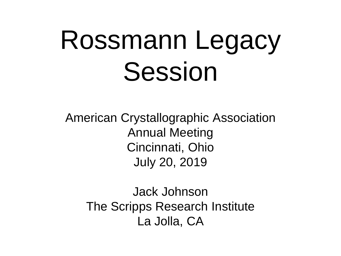# Rossmann Legacy Session

American Crystallographic Association Annual Meeting Cincinnati, Ohio July 20, 2019

Jack Johnson The Scripps Research Institute La Jolla, CA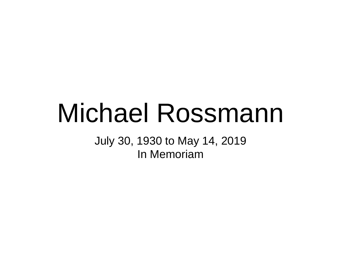# Michael Rossmann

July 30, 1930 to May 14, 2019 In Memoriam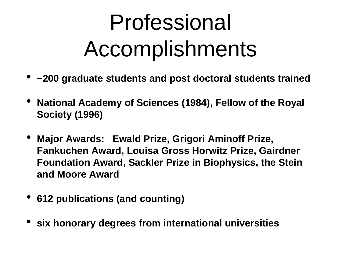## Professional Accomplishments

- **~200 graduate students and post doctoral students trained**
- **National Academy of Sciences (1984), Fellow of the Royal Society (1996)**
- **Major Awards: Ewald Prize, Grigori Aminoff Prize, Fankuchen Award, Louisa Gross Horwitz Prize, Gairdner Foundation Award, Sackler Prize in Biophysics, the Stein and Moore Award**
- **612 publications (and counting)**
- **six honorary degrees from international universities**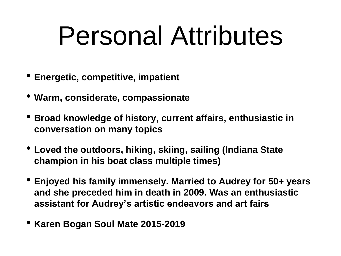# Personal Attributes

- **Energetic, competitive, impatient**
- **Warm, considerate, compassionate**
- **Broad knowledge of history, current affairs, enthusiastic in conversation on many topics**
- **Loved the outdoors, hiking, skiing, sailing (Indiana State champion in his boat class multiple times)**
- **Enjoyed his family immensely. Married to Audrey for 50+ years and she preceded him in death in 2009. Was an enthusiastic assistant for Audrey's artistic endeavors and art fairs**
- **Karen Bogan Soul Mate 2015-2019**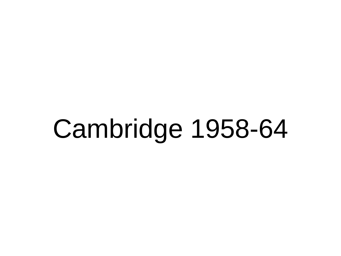# Cambridge 1958-64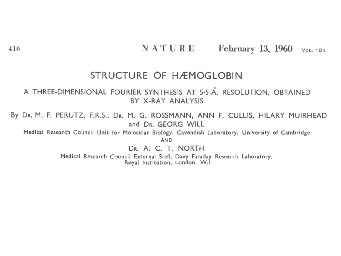NATURE February 13,  $1960$  VOL. 185

#### STRUCTURE OF HÆMOGLOBIN

#### A THREE-DIMENSIONAL FOURIER SYNTHESIS AT 5-5-A. RESOLUTION, OBTAINED BY X-RAY ANALYSIS

By DR. M. F. PERUTZ, F.R.S., DR. M. G. ROSSMANN, ANN F. CULLIS, HILARY MUIRHEAD and DR. GEORG WILL

Medical Research Council Unit for Molecular Biology, Cavendish Laboratory, University of Cambridge **AND** 

DR. A. C. T. NORTH

Medical Research Council External Staff, Davy Faraday Research Laboratory, Royal Institution, London, W.I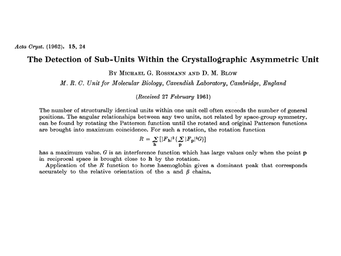#### The Detection of Sub-Units Within the Crystallographic Asymmetric Unit

BY MICHAEL G. ROSSMANN AND D. M. BLOW

M.R.C. Unit for Molecular Biology, Cavendish Laboratory, Cambridge, England

 $(Received 27 February 1961)$ 

The number of structurally identical units within one unit cell often exceeds the number of general positions. The angular relationships between any two units, not related by space-group symmetry, can be found by rotating the Patterson function until the rotated and original Patterson functions are brought into maximum coincidence. For such a rotation, the rotation function

$$
R = \sum_{\mathbf{h}} \left[ |F_{\mathbf{h}}|^2 \{ \sum_{\mathbf{p}} |F_{\mathbf{p}}|^2 G \} \right]
$$

has a maximum value.  $G$  is an interference function which has large values only when the point  $p$ in reciprocal space is brought close to  $h$  by the rotation.

Application of the  $R$  function to horse haemoglobin gives a dominant peak that corresponds accurately to the relative orientation of the  $\alpha$  and  $\beta$  chains.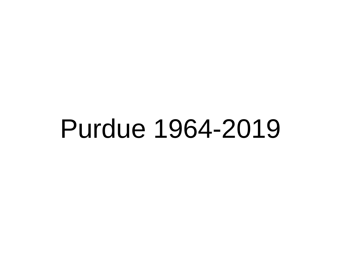# Purdue 1964-2019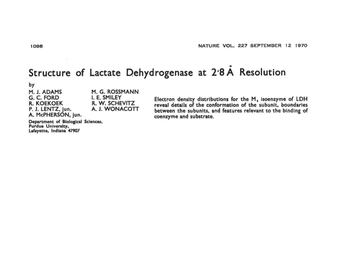### Structure of Lactate Dehydrogenase at 2.8 A Resolution

by

M. J. ADAMS M. G. ROSSMANN I. E. SMILEY G. C. FORD **R. KOEKOEK** R. W. SCHEVITZ A. J. WONACOTT P. J. LENTZ, jun. A. McPHERSON, jun.

Department of Biological Sciences, Purdue University, Lafayette, Indiana 47907

Electron density distributions for the  $M<sub>4</sub>$  isoenzyme of LDH reveal details of the conformation of the subunit, boundaries between the subunits, and features relevant to the binding of coenzyme and substrate.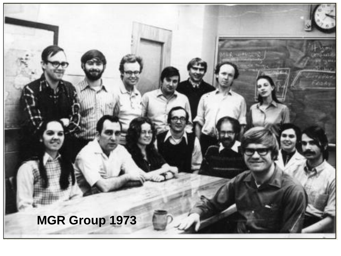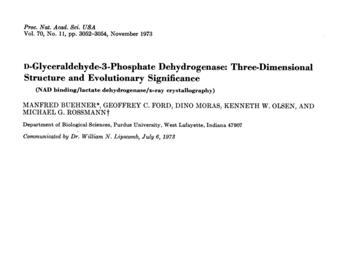Proc. Nat. Acad. Sci. USA Vol. 70, No. 11, pp. 3052-3054, November 1973

#### D-Glyceraldehyde-3-Phosphate Dehydrogenase: Three-Dimensional **Structure and Evolutionary Significance**

(NAD binding/lactate dehydrogenase/x-ray crystallography)

MANFRED BUEHNER\*, GEOFFREY C. FORD, DINO MORAS, KENNETH W. OLSEN, AND MICHAEL G. ROSSMANN†

Department of Biological Sciences, Purdue University, West Lafayette, Indiana 47907

Communicated by Dr. William N. Lipscomb, July 6, 1973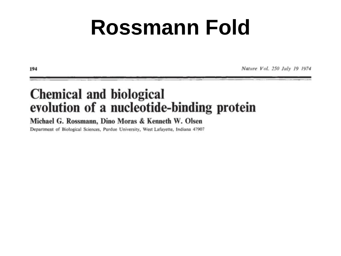### **Rossmann Fold**

Nature Vol. 250 July 19 1974

### **Chemical and biological** evolution of a nucleotide-binding protein

#### Michael G. Rossmann, Dino Moras & Kenneth W. Olsen

Department of Biological Sciences, Purdue University, West Lafayette, Indiana 47907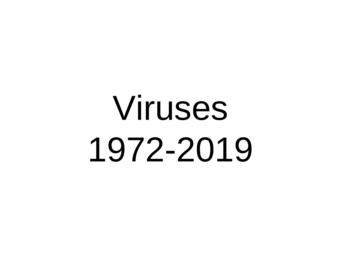# Viruses 1972-2019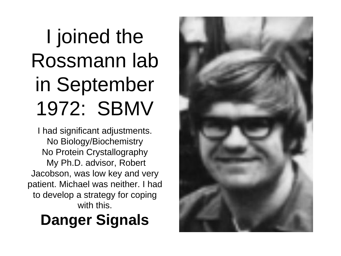### I joined the Rossmann lab in September 1972: SBMV

I had significant adjustments. No Biology/Biochemistry No Protein Crystallography My Ph.D. advisor, Robert Jacobson, was low key and very patient. Michael was neither. I had to develop a strategy for coping with this.

### **Danger Signals**

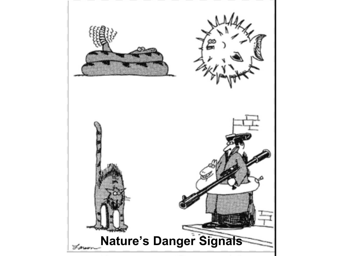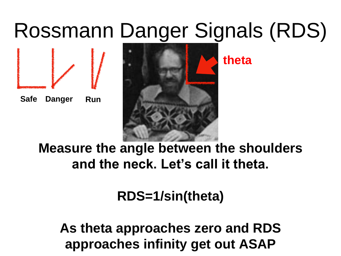### Rossmann Danger Signals (RDS)





**theta**

**Measure the angle between the shoulders and the neck. Let's call it theta.**

**RDS=1/sin(theta)**

**As theta approaches zero and RDS approaches infinity get out ASAP**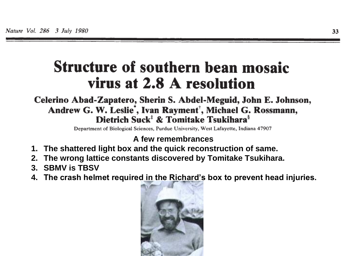### **Structure of southern bean mosaic** virus at 2.8 A resolution

#### Celerino Abad-Zapatero, Sherin S. Abdel-Meguid, John E. Johnson, Andrew G. W. Leslie', Ivan Rayment<sup>†</sup>, Michael G. Rossmann, Dietrich Suck<sup>#</sup> & Tomitake Tsukihara<sup>§</sup>

Department of Biological Sciences, Purdue University, West Lafayette, Indiana 47907

#### **A few remembrances**

- **1. The shattered light box and the quick reconstruction of same.**
- **2. The wrong lattice constants discovered by Tomitake Tsukihara.**
- **3. SBMV is TBSV**
- **4. The crash helmet required in the Richard's box to prevent head injuries.**

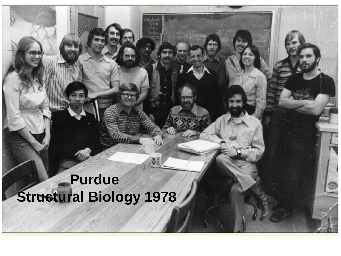### **Purdue Structural Biology 1978**